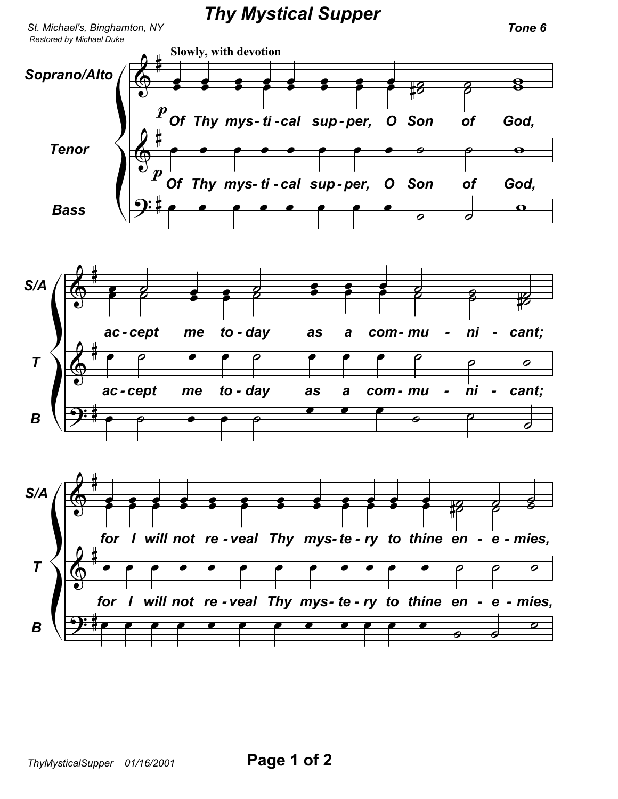*Thy Mystical Supper*

*St. Michael's, Binghamton, NY Tone 6*